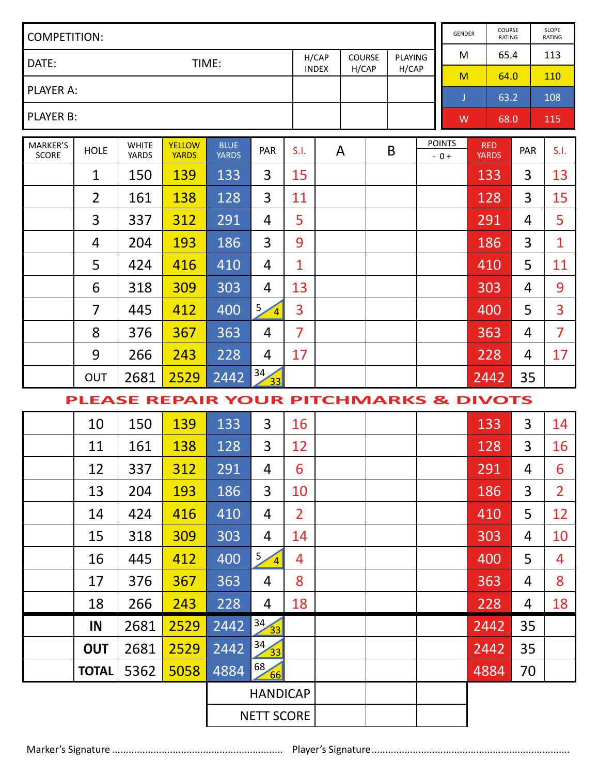| COMPETITION:      |                                        |                              |                               |                             |                          |                |                       |  |                 |   |                         | GENDER                 |                            | COURSE<br>RATING |      | SLOPE<br>RATING |
|-------------------|----------------------------------------|------------------------------|-------------------------------|-----------------------------|--------------------------|----------------|-----------------------|--|-----------------|---|-------------------------|------------------------|----------------------------|------------------|------|-----------------|
| DATE:<br>TIME:    |                                        |                              |                               |                             |                          |                | H/CAP<br><b>INDEX</b> |  | COURSE<br>H/CAP |   | <b>PLAYING</b><br>H/CAP |                        | м                          |                  | 65.4 | 113             |
| PLAYER A:         |                                        |                              |                               |                             |                          |                |                       |  |                 |   |                         | M                      |                            | 64.0             |      | 110             |
|                   |                                        |                              |                               |                             |                          |                |                       |  |                 |   |                         | J                      |                            | 63.2             |      | 108             |
| PLAYER B:         |                                        |                              |                               |                             |                          |                |                       |  |                 |   |                         | W                      |                            | 68.0             |      | 115             |
| MARKER'S<br>SCORE | HOLE                                   | <b>WHITE</b><br><b>YARDS</b> | <b>YELLOW</b><br><b>YARDS</b> | <b>BLUE</b><br><b>YARDS</b> | PAR                      | S.I.           | А                     |  |                 | B |                         | <b>POINTS</b><br>$-0+$ | <b>RED</b><br><b>YARDS</b> |                  | PAR  | S.I.            |
|                   | $\mathbf{1}$                           | 150                          | 139                           | 133                         | 3                        | 15             |                       |  |                 |   |                         |                        | 133                        |                  | 3    | 13              |
|                   | $\overline{2}$                         | 161                          | 138                           | 128                         | 3                        | 11             |                       |  |                 |   |                         |                        | 128                        |                  | 3    | 15              |
|                   | 3                                      | 337                          | 312                           | 291                         | 4                        | 5              |                       |  |                 |   |                         |                        | 291                        |                  | 4    | 5               |
|                   | 4                                      | 204                          | 193                           | 186                         | 3                        | 9              |                       |  |                 |   |                         |                        |                            | 186              | 3    | $\mathbf{1}$    |
|                   | 5                                      | 424                          | 416                           | 410                         | 4                        | $\mathbf{1}$   |                       |  |                 |   |                         |                        |                            | 410              | 5    | 11              |
|                   | 6                                      | 318                          | 309                           | 303                         | 4                        | 13             |                       |  |                 |   |                         |                        |                            | 303              | 4    | 9               |
|                   | 7                                      | 445                          | 412                           | 400                         | 5 <sub>2</sub><br>$\sim$ | 3              |                       |  |                 |   |                         |                        |                            | 400              | 5    | 3               |
|                   | 8                                      | 376                          | 367                           | 363                         | 4                        | $\overline{7}$ |                       |  |                 |   |                         |                        |                            | 363              | 4    | $\overline{7}$  |
|                   | 9                                      | 266                          | 243                           | 228                         | 4                        | 17             |                       |  |                 |   |                         |                        |                            | 228              | 4    | 17              |
|                   | OUT                                    | 2681                         | 2529                          | 2442                        | 34<br>33                 |                |                       |  |                 |   |                         |                        |                            | 2442             | 35   |                 |
|                   | PLEASE REPAIR YOUR PITCHMARKS & DIVOTS |                              |                               |                             |                          |                |                       |  |                 |   |                         |                        |                            |                  |      |                 |
|                   | 10                                     | 150                          | 139                           | 133                         | 3                        | 16             |                       |  |                 |   |                         |                        |                            | 133              | 3    | 14              |
|                   | 11                                     | 161                          | 138                           | 128                         | 3                        | 12             |                       |  |                 |   |                         |                        |                            | 128              | 3    | 16              |
|                   | 12                                     | 337                          | 312                           | 291                         | 4                        | 6              |                       |  |                 |   |                         |                        |                            | 291              | 4    | 6               |
|                   | 13                                     | 204                          | 193                           | 186                         | 3                        | 10             |                       |  |                 |   |                         |                        |                            | 186              | 3    | $\overline{2}$  |
|                   | 14                                     | 424                          | 416                           | 410                         | 4                        | $\overline{2}$ |                       |  |                 |   |                         |                        |                            | 410              | 5    | 12              |
|                   | 15                                     | 318                          | 309                           | 303                         | 4                        | 14             |                       |  |                 |   |                         |                        |                            | 303              | 4    | 10              |
|                   | 16                                     | 445                          | 412                           | 400                         | 5.<br>$\sim$             | 4              |                       |  |                 |   |                         |                        |                            | 400              | 5    | 4               |
|                   | 17                                     | 376                          | 367                           | 363                         | 4                        | 8              |                       |  |                 |   |                         |                        |                            | 363              | 4    | 8               |
|                   | 18                                     | 266                          | 243                           | 228                         | 4                        | 18             |                       |  |                 |   |                         |                        |                            | 228              | 4    | 18              |
|                   | IN                                     | 2681                         | 2529                          | 2442                        | $\frac{34}{33}$          |                |                       |  |                 |   |                         |                        |                            | 2442             | 35   |                 |
|                   | OUT                                    | 2681                         | 2529                          | 2442                        | 34<br>33                 |                |                       |  |                 |   |                         |                        |                            | 2442             | 35   |                 |
|                   | <b>TOTAL</b>                           | 5362                         | 5058                          | 4884                        | 68<br>66                 |                |                       |  |                 |   |                         |                        |                            | 4884             | 70   |                 |
|                   |                                        | <b>HANDICAP</b>              |                               |                             |                          |                |                       |  |                 |   |                         |                        |                            |                  |      |                 |
|                   | <b>NETT SCORE</b>                      |                              |                               |                             |                          |                |                       |  |                 |   |                         |                        |                            |                  |      |                 |